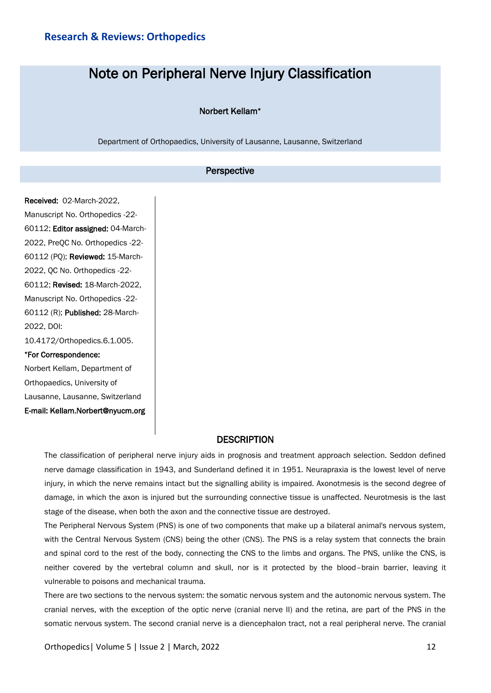# Note on Peripheral Nerve Injury Classification

### Norbert Kellam\*

Department of Orthopaedics, University of Lausanne, Lausanne, Switzerland

## Perspective

Received: 02-March-2022, Manuscript No. Orthopedics -22- 60112; Editor assigned: 04-March-2022, PreQC No. Orthopedics -22- 60112 (PQ); Reviewed: 15-March-2022, QC No. Orthopedics -22- 60112; Revised: 18-March-2022, Manuscript No. Orthopedics -22- 60112 (R); Published: 28-March-2022, DOI: 10.4172/Orthopedics.6.1.005. \*For Correspondence: Norbert Kellam, Department of

Orthopaedics, University of Lausanne, Lausanne, Switzerland E-mail: Kellam.Norbert@nyucm.org

## **DESCRIPTION**

The classification of peripheral nerve injury aids in prognosis and treatment approach selection. Seddon defined nerve damage classification in 1943, and Sunderland defined it in 1951. Neurapraxia is the lowest level of nerve injury, in which the nerve remains intact but the signalling ability is impaired. Axonotmesis is the second degree of damage, in which the axon is injured but the surrounding connective tissue is unaffected. Neurotmesis is the last stage of the disease, when both the axon and the connective tissue are destroyed.

The Peripheral Nervous System (PNS) is one of two components that make up a bilateral animal's nervous system, with the Central Nervous System (CNS) being the other (CNS). The PNS is a relay system that connects the brain and spinal cord to the rest of the body, connecting the CNS to the limbs and organs. The PNS, unlike the CNS, is neither covered by the vertebral column and skull, nor is it protected by the blood–brain barrier, leaving it vulnerable to poisons and mechanical trauma.

There are two sections to the nervous system: the somatic nervous system and the autonomic nervous system. The cranial nerves, with the exception of the optic nerve (cranial nerve II) and the retina, are part of the PNS in the somatic nervous system. The second cranial nerve is a diencephalon tract, not a real peripheral nerve. The cranial

Orthopedics| Volume 5 | Issue 2 | March, 2022 12